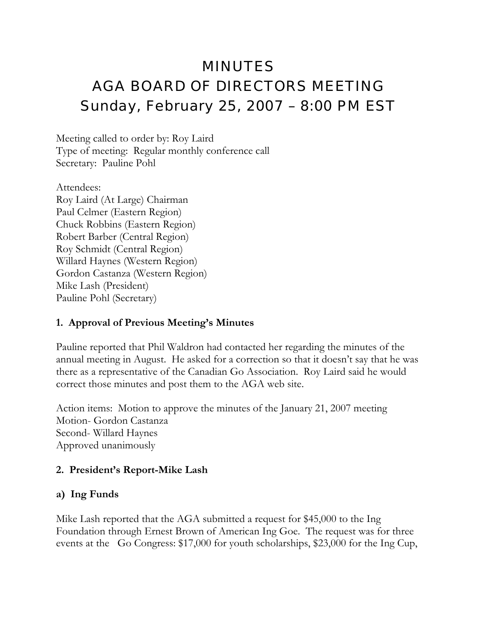# MINUTES AGA BOARD OF DIRECTORS MEETING Sunday, February 25, 2007 – 8:00 PM EST

Meeting called to order by: Roy Laird Type of meeting: Regular monthly conference call Secretary: Pauline Pohl

Attendees: Roy Laird (At Large) Chairman Paul Celmer (Eastern Region) Chuck Robbins (Eastern Region) Robert Barber (Central Region) Roy Schmidt (Central Region) Willard Haynes (Western Region) Gordon Castanza (Western Region) Mike Lash (President) Pauline Pohl (Secretary)

#### **1. Approval of Previous Meeting's Minutes**

Pauline reported that Phil Waldron had contacted her regarding the minutes of the annual meeting in August. He asked for a correction so that it doesn't say that he was there as a representative of the Canadian Go Association. Roy Laird said he would correct those minutes and post them to the AGA web site.

Action items: Motion to approve the minutes of the January 21, 2007 meeting Motion- Gordon Castanza Second- Willard Haynes Approved unanimously

#### **2. President's Report-Mike Lash**

#### **a) Ing Funds**

Mike Lash reported that the AGA submitted a request for \$45,000 to the Ing Foundation through Ernest Brown of American Ing Goe. The request was for three events at the Go Congress: \$17,000 for youth scholarships, \$23,000 for the Ing Cup,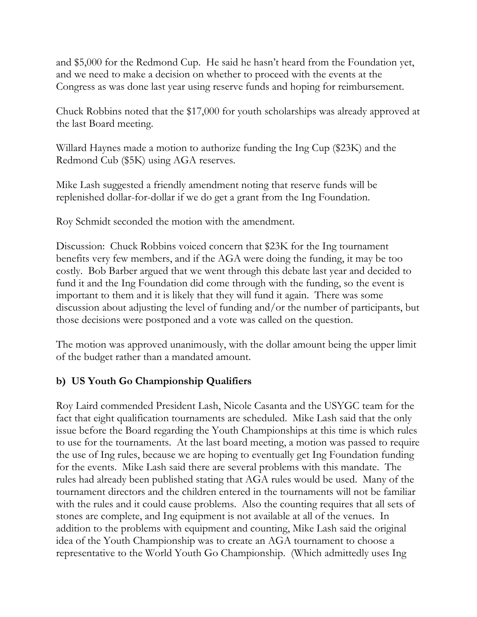and \$5,000 for the Redmond Cup. He said he hasn't heard from the Foundation yet, and we need to make a decision on whether to proceed with the events at the Congress as was done last year using reserve funds and hoping for reimbursement.

Chuck Robbins noted that the \$17,000 for youth scholarships was already approved at the last Board meeting.

Willard Haynes made a motion to authorize funding the Ing Cup (\$23K) and the Redmond Cub (\$5K) using AGA reserves.

Mike Lash suggested a friendly amendment noting that reserve funds will be replenished dollar-for-dollar if we do get a grant from the Ing Foundation.

Roy Schmidt seconded the motion with the amendment.

Discussion: Chuck Robbins voiced concern that \$23K for the Ing tournament benefits very few members, and if the AGA were doing the funding, it may be too costly. Bob Barber argued that we went through this debate last year and decided to fund it and the Ing Foundation did come through with the funding, so the event is important to them and it is likely that they will fund it again. There was some discussion about adjusting the level of funding and/or the number of participants, but those decisions were postponed and a vote was called on the question.

The motion was approved unanimously, with the dollar amount being the upper limit of the budget rather than a mandated amount.

#### **b) US Youth Go Championship Qualifiers**

Roy Laird commended President Lash, Nicole Casanta and the USYGC team for the fact that eight qualification tournaments are scheduled. Mike Lash said that the only issue before the Board regarding the Youth Championships at this time is which rules to use for the tournaments. At the last board meeting, a motion was passed to require the use of Ing rules, because we are hoping to eventually get Ing Foundation funding for the events. Mike Lash said there are several problems with this mandate. The rules had already been published stating that AGA rules would be used. Many of the tournament directors and the children entered in the tournaments will not be familiar with the rules and it could cause problems. Also the counting requires that all sets of stones are complete, and Ing equipment is not available at all of the venues. In addition to the problems with equipment and counting, Mike Lash said the original idea of the Youth Championship was to create an AGA tournament to choose a representative to the World Youth Go Championship. (Which admittedly uses Ing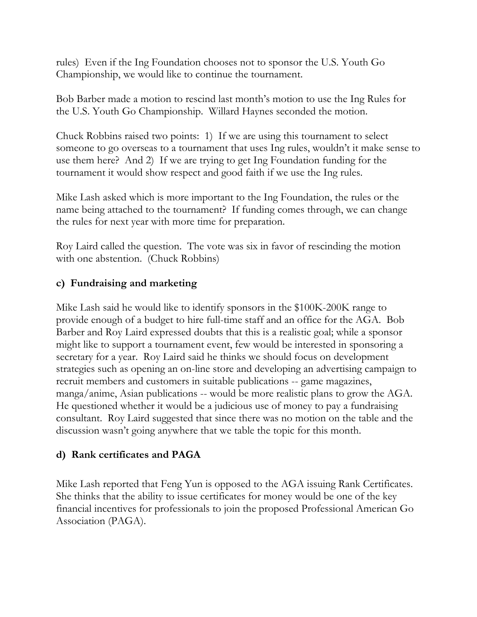rules) Even if the Ing Foundation chooses not to sponsor the U.S. Youth Go Championship, we would like to continue the tournament.

Bob Barber made a motion to rescind last month's motion to use the Ing Rules for the U.S. Youth Go Championship. Willard Haynes seconded the motion.

Chuck Robbins raised two points: 1) If we are using this tournament to select someone to go overseas to a tournament that uses Ing rules, wouldn't it make sense to use them here? And 2) If we are trying to get Ing Foundation funding for the tournament it would show respect and good faith if we use the Ing rules.

Mike Lash asked which is more important to the Ing Foundation, the rules or the name being attached to the tournament? If funding comes through, we can change the rules for next year with more time for preparation.

Roy Laird called the question. The vote was six in favor of rescinding the motion with one abstention. (Chuck Robbins)

## **c) Fundraising and marketing**

Mike Lash said he would like to identify sponsors in the \$100K-200K range to provide enough of a budget to hire full-time staff and an office for the AGA. Bob Barber and Roy Laird expressed doubts that this is a realistic goal; while a sponsor might like to support a tournament event, few would be interested in sponsoring a secretary for a year. Roy Laird said he thinks we should focus on development strategies such as opening an on-line store and developing an advertising campaign to recruit members and customers in suitable publications -- game magazines, manga/anime, Asian publications -- would be more realistic plans to grow the AGA. He questioned whether it would be a judicious use of money to pay a fundraising consultant. Roy Laird suggested that since there was no motion on the table and the discussion wasn't going anywhere that we table the topic for this month.

#### **d) Rank certificates and PAGA**

Mike Lash reported that Feng Yun is opposed to the AGA issuing Rank Certificates. She thinks that the ability to issue certificates for money would be one of the key financial incentives for professionals to join the proposed Professional American Go Association (PAGA).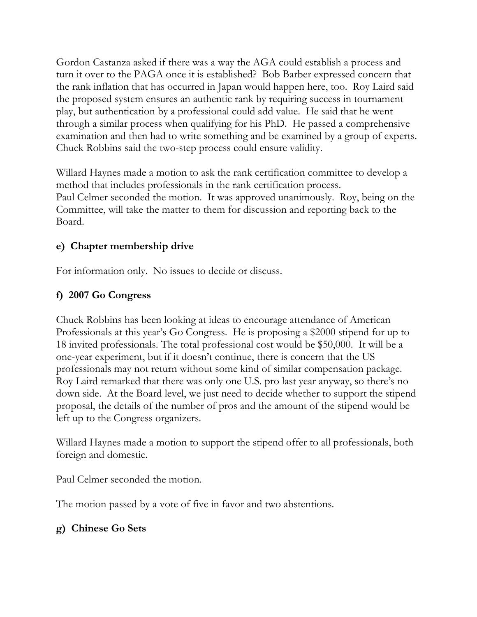Gordon Castanza asked if there was a way the AGA could establish a process and turn it over to the PAGA once it is established? Bob Barber expressed concern that the rank inflation that has occurred in Japan would happen here, too. Roy Laird said the proposed system ensures an authentic rank by requiring success in tournament play, but authentication by a professional could add value. He said that he went through a similar process when qualifying for his PhD. He passed a comprehensive examination and then had to write something and be examined by a group of experts. Chuck Robbins said the two-step process could ensure validity.

Willard Haynes made a motion to ask the rank certification committee to develop a method that includes professionals in the rank certification process. Paul Celmer seconded the motion. It was approved unanimously. Roy, being on the Committee, will take the matter to them for discussion and reporting back to the Board.

## **e) Chapter membership drive**

For information only. No issues to decide or discuss.

## **f) 2007 Go Congress**

Chuck Robbins has been looking at ideas to encourage attendance of American Professionals at this year's Go Congress. He is proposing a \$2000 stipend for up to 18 invited professionals. The total professional cost would be \$50,000. It will be a one-year experiment, but if it doesn't continue, there is concern that the US professionals may not return without some kind of similar compensation package. Roy Laird remarked that there was only one U.S. pro last year anyway, so there's no down side. At the Board level, we just need to decide whether to support the stipend proposal, the details of the number of pros and the amount of the stipend would be left up to the Congress organizers.

Willard Haynes made a motion to support the stipend offer to all professionals, both foreign and domestic.

Paul Celmer seconded the motion.

The motion passed by a vote of five in favor and two abstentions.

# **g) Chinese Go Sets**